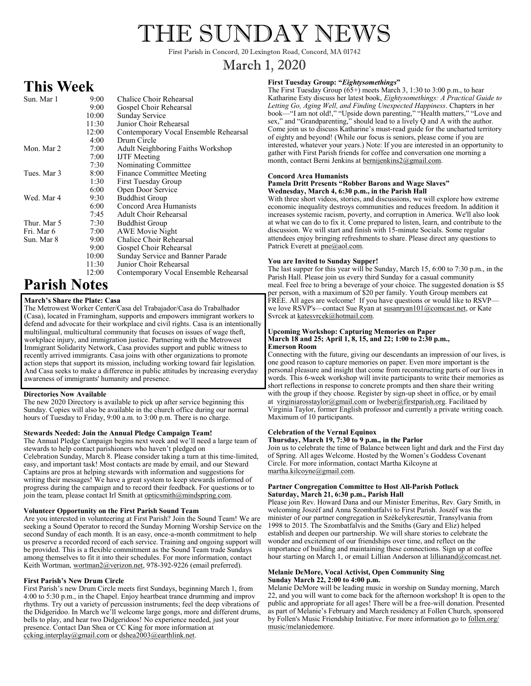# THE SUNDAY NEWS

First Parish in Concord, 20 Lexington Road, Concord, MA 01742

# March 1, 2020

# **This Week**

| Sun. Mar 1  | 9:00  | Chalice Choir Rehearsal               |
|-------------|-------|---------------------------------------|
|             | 9:00  | Gospel Choir Rehearsal                |
|             | 10:00 | Sunday Service                        |
|             | 11:30 | Junior Choir Rehearsal                |
|             | 12:00 | Contemporary Vocal Ensemble Rehearsal |
|             | 4:00  | Drum Circle                           |
| Mon. Mar 2  | 7:00  | Adult Neighboring Faiths Workshop     |
|             | 7:00  | <b>IJTF</b> Meeting                   |
|             | 7:30  | Nominating Committee                  |
| Tues. Mar 3 | 8:00  | Finance Committee Meeting             |
|             | 1:30  | <b>First Tuesday Group</b>            |
|             | 6:00  | Open Door Service                     |
| Wed. Mar 4  | 9:30  | <b>Buddhist Group</b>                 |
|             | 6:00  | Concord Area Humanists                |
|             | 7:45  | Adult Choir Rehearsal                 |
| Thur. Mar 5 | 7:30  | <b>Buddhist Group</b>                 |
| Fri. Mar 6  | 7:00  | AWE Movie Night                       |
| Sun. Mar 8  | 9:00  | Chalice Choir Rehearsal               |
|             | 9:00  | Gospel Choir Rehearsal                |
|             | 10:00 | Sunday Service and Banner Parade      |
|             | 11:30 | Junior Choir Rehearsal                |
|             | 12:00 | Contemporary Vocal Ensemble Rehearsal |
|             |       |                                       |

# **Parish Notes**

### **March's Share the Plate: Casa**

The Metrowest Worker Center/Casa del Trabajador/Casa do Trabalhador (Casa), located in Framingham, supports and empowers immigrant workers to defend and advocate for their workplace and civil rights. Casa is an intentionally multilingual, multicultural community that focuses on issues of wage theft, workplace injury, and immigration justice. Partnering with the Metrowest Immigrant Solidarity Network, Casa provides support and public witness to recently arrived immigrants. Casa joins with other organizations to promote action steps that support its mission, including working toward fair legislation. And Casa seeks to make a difference in public attitudes by increasing everyday awareness of immigrants' humanity and presence.

### **Directories Now Available**

The new 2020 Directory is available to pick up after service beginning this Sunday. Copies will also be available in the church office during our normal hours of Tuesday to Friday, 9:00 a.m. to 3:00 p.m. There is no charge.

#### **Stewards Needed: Join the Annual Pledge Campaign Team!**

The Annual Pledge Campaign begins next week and we'll need a large team of stewards to help contact parishioners who haven't pledged on Celebration Sunday, March 8. Please consider taking a turn at this time-limited, easy, and important task! Most contacts are made by email, and our Steward Captains are pros at helping stewards with information and suggestions for writing their messages! We have a great system to keep stewards informed of progress during the campaign and to record their feedback. For questions or to join the team, please contact Irl Smith at opticsmith@mindspring.com.

#### **Volunteer Opportunity on the First Parish Sound Team**

Are you interested in volunteering at First Parish? Join the Sound Team! We are seeking a Sound Operator to record the Sunday Morning Worship Service on the second Sunday of each month. It is an easy, once-a-month commitment to help us preserve a recorded record of each service. Training and ongoing support will be provided. This is a flexible commitment as the Sound Team trade Sundays among themselves to fit it into their schedules. For more information, contact Keith Wortman, wortman2@verizon.net, 978-392-9226 (email preferred).

#### **First Parish's New Drum Circle**

First Parish's new Drum Circle meets first Sundays, beginning March 1, from 4:00 to 5:30 p.m., in the Chapel. Enjoy heartbeat trance drumming and improv rhythms. Try out a variety of percussion instruments; feel the deep vibrations of the Didgeridoo. In March we'll welcome large gongs, more and different drums, bells to play, and hear two Didgeridoos! No experience needed, just your presence. Contact Dan Shea or CC King for more information at ccking.interplay@gmail.com or dshea2003@earthlink.net.

### **First Tuesday Group: "***Eightysomethings***"**

The First Tuesday Group  $(65+)$  meets March 3, 1:30 to 3:00 p.m., to hear Katharine Esty discuss her latest book, *Eightysomethings: A Practical Guide to Letting Go, Aging Well, and Finding Unexpected Happiness*. Chapters in her book—"I am not old!," "Upside down parenting," "Health matters," "Love and sex," and "Grandparenting," should lead to a lively Q and A with the author. Come join us to discuss Katharine's must-read guide for the uncharted territory of eighty and beyond! (While our focus is seniors, please come if you are interested, whatever your years.) Note: If you are interested in an opportunity to gather with First Parish friends for coffee and conversation one morning a month, contact Berni Jenkins at bernijenkins2@gmail.com.

#### **Concord Area Humanists Pamela Dritt Presents "Robber Barons and Wage Slaves" Wednesday, March 4, 6:30 p.m., in the Parish Hall**

With three short videos, stories, and discussions, we will explore how extreme economic inequality destroys communities and reduces freedom. In addition it increases systemic racism, poverty, and corruption in America. We'll also look at what we can do to fix it. Come prepared to listen, learn, and contribute to the discussion. We will start and finish with 15-minute Socials. Some regular attendees enjoy bringing refreshments to share. Please direct any questions to Patrick Everett at pne@aol.com.

### **You are Invited to Sunday Supper!**

The last supper for this year will be Sunday, March 15, 6:00 to 7:30 p.m., in the Parish Hall. Please join us every third Sunday for a casual community meal. Feel free to bring a beverage of your choice. The suggested donation is \$5 per person, with a maximum of \$20 per family. Youth Group members eat FREE. All ages are welcome! If you have questions or would like to RSVP we love RSVP's—contact Sue Ryan at  $\frac{\text{susan} \cdot \text{you}}{\text{susan} \cdot \text{you}}$  or Kate Svrcek at katesvrcek@hotmail.com.

#### **Upcoming Workshop: Capturing Memories on Paper March 18 and 25; April 1, 8, 15, and 22; 1:00 to 2:30 p.m., Emerson Room**

Connecting with the future, giving our descendants an impression of our lives, is one good reason to capture memories on paper. Even more important is the personal pleasure and insight that come from reconstructing parts of our lives in words. This 6-week workshop will invite participants to write their memories as short reflections in response to concrete prompts and then share their writing with the group if they choose. Register by sign-up sheet in office, or by email at virginiarosstaylor@gmail.com or lweber@firstparish.org. Facilitaed by Virginia Taylor, former English professor and currently a private writing coach. Maximum of 10 participants.

#### **Celebration of the Vernal Equinox**

**Thursday, March 19, 7:30 to 9 p.m., in the Parlor** Join us to celebrate the time of Balance between light and dark and the First day of Spring. All ages Welcome. Hosted by the Women's Goddess Covenant Circle. For more information, contact Martha Kilcoyne at martha.kilcoyne@gmail.com.

#### **Partner Congregation Committee to Host All-Parish Potluck Saturday, March 21, 6:30 p.m., Parish Hall**

Please join Rev. Howard Dana and our Minister Emeritus, Rev. Gary Smith, in welcoming Joszéf and Anna Szombatfalvi to First Parish. Joszéf was the minister of our partner congregation in Székelykeresztúr, Transylvania from 1998 to 2015. The Szombatfalvis and the Smiths (Gary and Eliz) helped establish and deepen our partnership. We will share stories to celebrate the wonder and excitement of our friendships over time, and reflect on the importance of building and maintaining these connections. Sign up at coffee hour starting on March 1, or email Lillian Anderson at lillianand@comcast.net.

#### **Melanie DeMore, Vocal Activist, Open Community Sing Sunday March 22, 2:00 to 4:00 p.m.**

Melanie DeMore will be leading music in worship on Sunday morning, March 22, and you will want to come back for the afternoon workshop! It is open to the public and appropriate for all ages! There will be a free-will donation. Presented as part of Melanie's February and March residency at Follen Church, sponsored by Follen's Music Friendship Initiative. For more information go to follen.org/ music/melaniedemore.